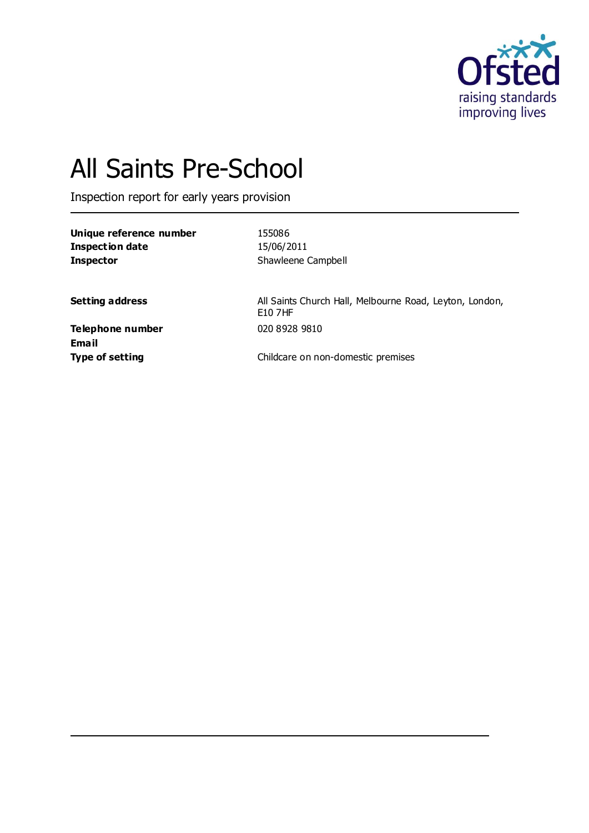

# All Saints Pre-School

Inspection report for early years provision

| Unique reference number | 155086             |
|-------------------------|--------------------|
| Inspection date         | 15/06/2011         |
| <b>Inspector</b>        | Shawleene Campbell |

**Setting address** All Saints Church Hall, Melbourne Road, Leyton, London, E10 7HF

**Telephone number** 020 8928 9810 **Email**

**Type of setting Childcare on non-domestic premises**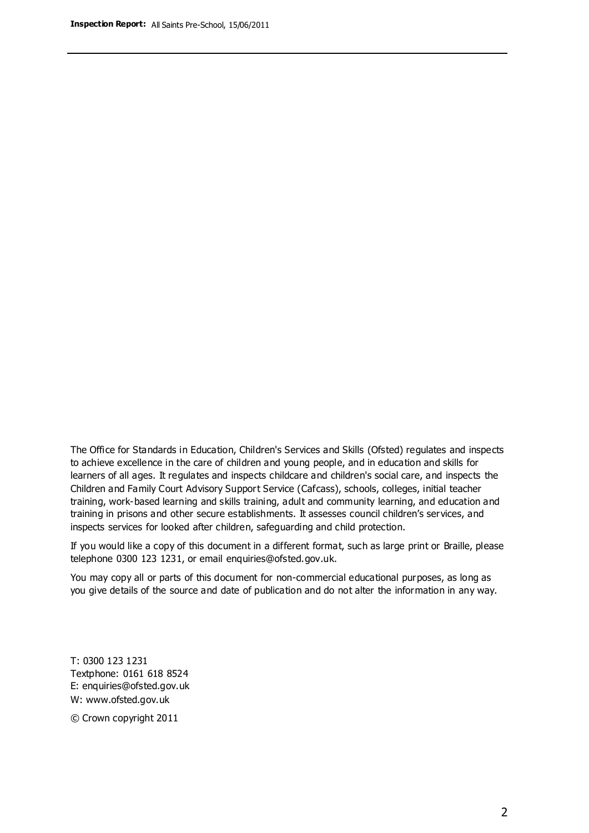The Office for Standards in Education, Children's Services and Skills (Ofsted) regulates and inspects to achieve excellence in the care of children and young people, and in education and skills for learners of all ages. It regulates and inspects childcare and children's social care, and inspects the Children and Family Court Advisory Support Service (Cafcass), schools, colleges, initial teacher training, work-based learning and skills training, adult and community learning, and education and training in prisons and other secure establishments. It assesses council children's services, and inspects services for looked after children, safeguarding and child protection.

If you would like a copy of this document in a different format, such as large print or Braille, please telephone 0300 123 1231, or email enquiries@ofsted.gov.uk.

You may copy all or parts of this document for non-commercial educational purposes, as long as you give details of the source and date of publication and do not alter the information in any way.

T: 0300 123 1231 Textphone: 0161 618 8524 E: enquiries@ofsted.gov.uk W: [www.ofsted.gov.uk](http://www.ofsted.gov.uk/)

© Crown copyright 2011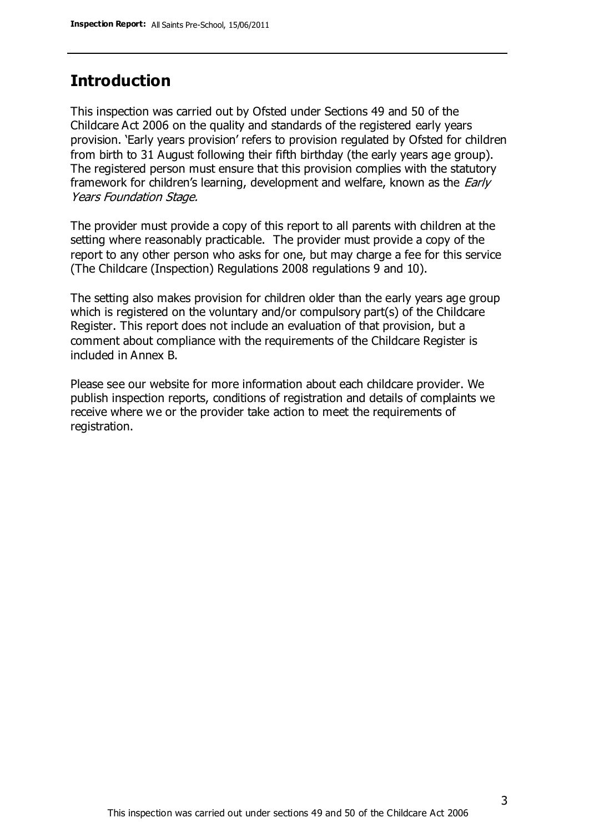## **Introduction**

This inspection was carried out by Ofsted under Sections 49 and 50 of the Childcare Act 2006 on the quality and standards of the registered early years provision. 'Early years provision' refers to provision regulated by Ofsted for children from birth to 31 August following their fifth birthday (the early years age group). The registered person must ensure that this provision complies with the statutory framework for children's learning, development and welfare, known as the *Early* Years Foundation Stage.

The provider must provide a copy of this report to all parents with children at the setting where reasonably practicable. The provider must provide a copy of the report to any other person who asks for one, but may charge a fee for this service (The Childcare (Inspection) Regulations 2008 regulations 9 and 10).

The setting also makes provision for children older than the early years age group which is registered on the voluntary and/or compulsory part(s) of the Childcare Register. This report does not include an evaluation of that provision, but a comment about compliance with the requirements of the Childcare Register is included in Annex B.

Please see our website for more information about each childcare provider. We publish inspection reports, conditions of registration and details of complaints we receive where we or the provider take action to meet the requirements of registration.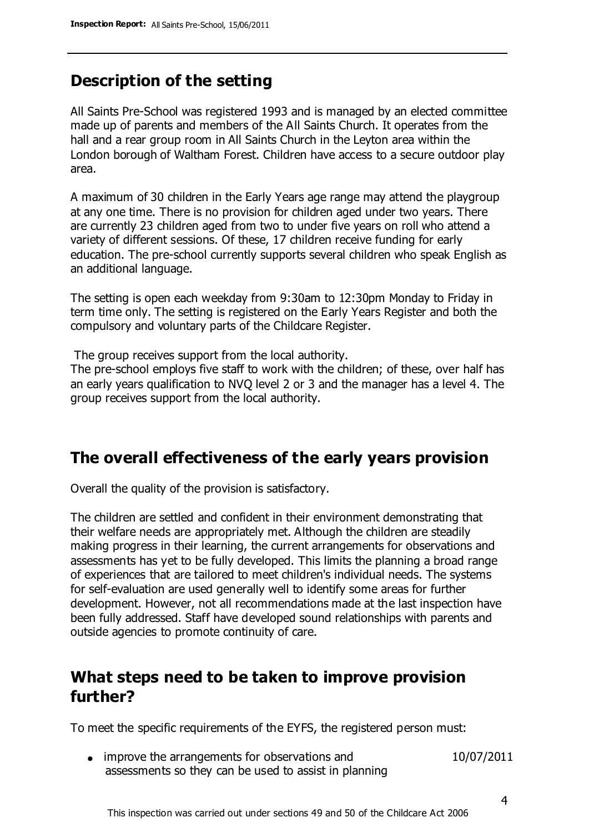# **Description of the setting**

All Saints Pre-School was registered 1993 and is managed by an elected committee made up of parents and members of the All Saints Church. It operates from the hall and a rear group room in All Saints Church in the Leyton area within the London borough of Waltham Forest. Children have access to a secure outdoor play area.

A maximum of 30 children in the Early Years age range may attend the playgroup at any one time. There is no provision for children aged under two years. There are currently 23 children aged from two to under five years on roll who attend a variety of different sessions. Of these, 17 children receive funding for early education. The pre-school currently supports several children who speak English as an additional language.

The setting is open each weekday from 9:30am to 12:30pm Monday to Friday in term time only. The setting is registered on the Early Years Register and both the compulsory and voluntary parts of the Childcare Register.

The group receives support from the local authority.

The pre-school employs five staff to work with the children; of these, over half has an early years qualification to NVQ level 2 or 3 and the manager has a level 4. The group receives support from the local authority.

## **The overall effectiveness of the early years provision**

Overall the quality of the provision is satisfactory.

The children are settled and confident in their environment demonstrating that their welfare needs are appropriately met. Although the children are steadily making progress in their learning, the current arrangements for observations and assessments has yet to be fully developed. This limits the planning a broad range of experiences that are tailored to meet children's individual needs. The systems for self-evaluation are used generally well to identify some areas for further development. However, not all recommendations made at the last inspection have been fully addressed. Staff have developed sound relationships with parents and outside agencies to promote continuity of care.

## **What steps need to be taken to improve provision further?**

To meet the specific requirements of the EYFS, the registered person must:

• improve the arrangements for observations and assessments so they can be used to assist in planning 10/07/2011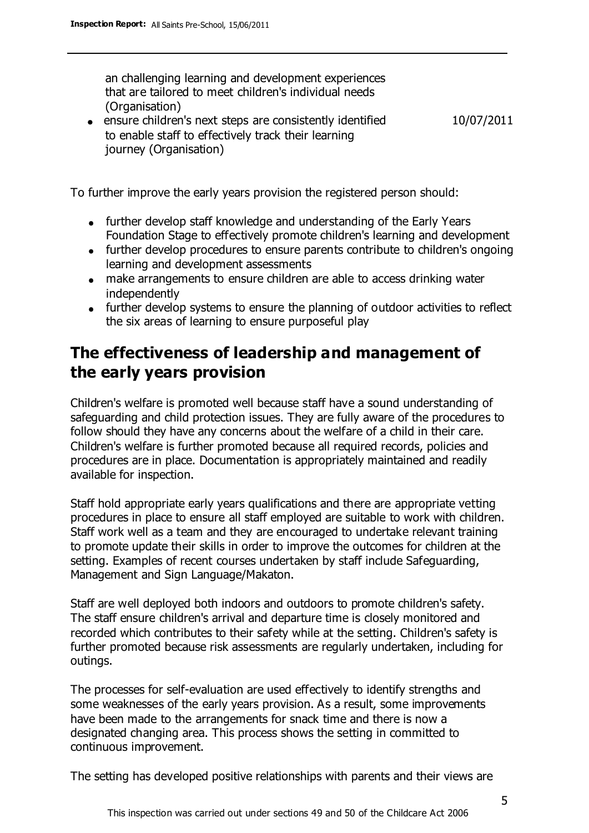an challenging learning and development experiences that are tailored to meet children's individual needs (Organisation)

ensure children's next steps are consistently identified to enable staff to effectively track their learning journey (Organisation) 10/07/2011

To further improve the early years provision the registered person should:

- further develop staff knowledge and understanding of the Early Years Foundation Stage to effectively promote children's learning and development
- further develop procedures to ensure parents contribute to children's ongoing learning and development assessments
- make arrangements to ensure children are able to access drinking water independently
- further develop systems to ensure the planning of outdoor activities to reflect the six areas of learning to ensure purposeful play

# **The effectiveness of leadership and management of the early years provision**

Children's welfare is promoted well because staff have a sound understanding of safeguarding and child protection issues. They are fully aware of the procedures to follow should they have any concerns about the welfare of a child in their care. Children's welfare is further promoted because all required records, policies and procedures are in place. Documentation is appropriately maintained and readily available for inspection.

Staff hold appropriate early years qualifications and there are appropriate vetting procedures in place to ensure all staff employed are suitable to work with children. Staff work well as a team and they are encouraged to undertake relevant training to promote update their skills in order to improve the outcomes for children at the setting. Examples of recent courses undertaken by staff include Safeguarding, Management and Sign Language/Makaton.

Staff are well deployed both indoors and outdoors to promote children's safety. The staff ensure children's arrival and departure time is closely monitored and recorded which contributes to their safety while at the setting. Children's safety is further promoted because risk assessments are regularly undertaken, including for outings.

The processes for self-evaluation are used effectively to identify strengths and some weaknesses of the early years provision. As a result, some improvements have been made to the arrangements for snack time and there is now a designated changing area. This process shows the setting in committed to continuous improvement.

The setting has developed positive relationships with parents and their views are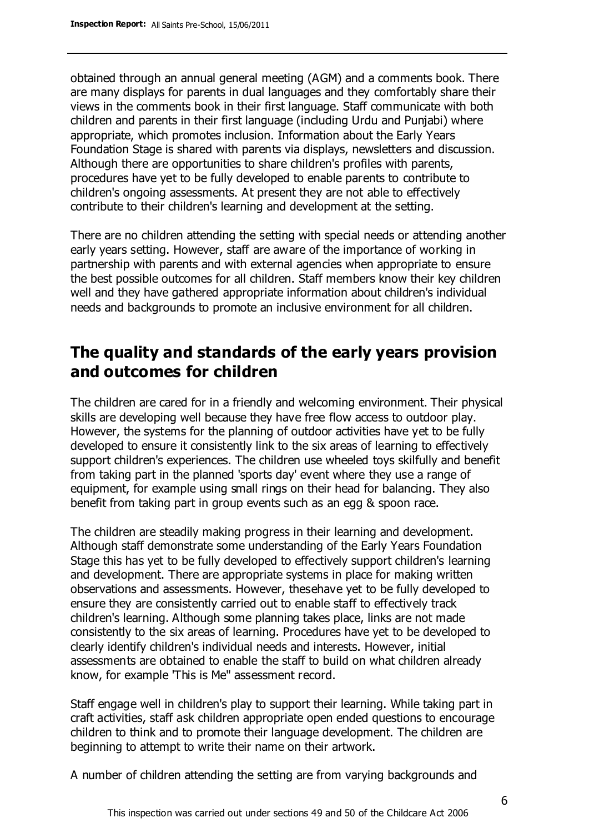obtained through an annual general meeting (AGM) and a comments book. There are many displays for parents in dual languages and they comfortably share their views in the comments book in their first language. Staff communicate with both children and parents in their first language (including Urdu and Punjabi) where appropriate, which promotes inclusion. Information about the Early Years Foundation Stage is shared with parents via displays, newsletters and discussion. Although there are opportunities to share children's profiles with parents, procedures have yet to be fully developed to enable parents to contribute to children's ongoing assessments. At present they are not able to effectively contribute to their children's learning and development at the setting.

There are no children attending the setting with special needs or attending another early years setting. However, staff are aware of the importance of working in partnership with parents and with external agencies when appropriate to ensure the best possible outcomes for all children. Staff members know their key children well and they have gathered appropriate information about children's individual needs and backgrounds to promote an inclusive environment for all children.

## **The quality and standards of the early years provision and outcomes for children**

The children are cared for in a friendly and welcoming environment. Their physical skills are developing well because they have free flow access to outdoor play. However, the systems for the planning of outdoor activities have yet to be fully developed to ensure it consistently link to the six areas of learning to effectively support children's experiences. The children use wheeled toys skilfully and benefit from taking part in the planned 'sports day' event where they use a range of equipment, for example using small rings on their head for balancing. They also benefit from taking part in group events such as an egg & spoon race.

The children are steadily making progress in their learning and development. Although staff demonstrate some understanding of the Early Years Foundation Stage this has yet to be fully developed to effectively support children's learning and development. There are appropriate systems in place for making written observations and assessments. However, thesehave yet to be fully developed to ensure they are consistently carried out to enable staff to effectively track children's learning. Although some planning takes place, links are not made consistently to the six areas of learning. Procedures have yet to be developed to clearly identify children's individual needs and interests. However, initial assessments are obtained to enable the staff to build on what children already know, for example 'This is Me'' assessment record.

Staff engage well in children's play to support their learning. While taking part in craft activities, staff ask children appropriate open ended questions to encourage children to think and to promote their language development. The children are beginning to attempt to write their name on their artwork.

A number of children attending the setting are from varying backgrounds and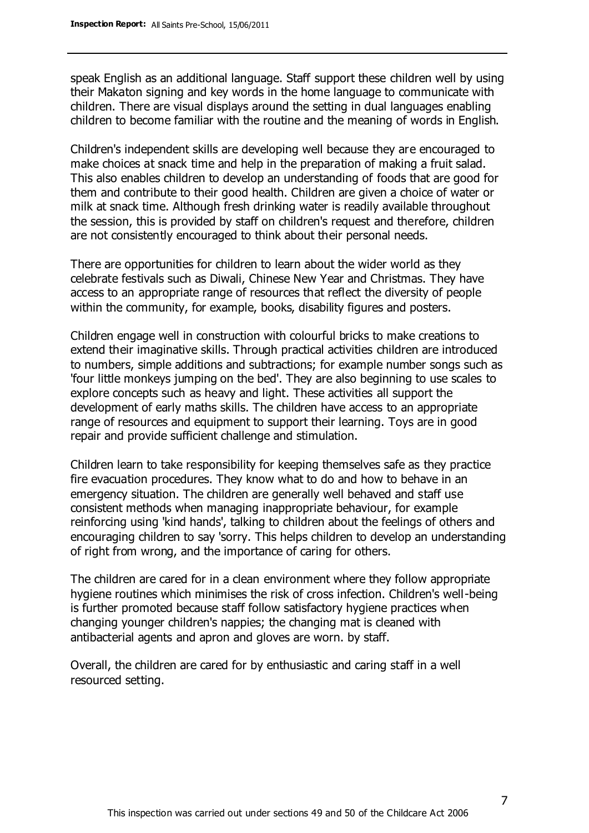speak English as an additional language. Staff support these children well by using their Makaton signing and key words in the home language to communicate with children. There are visual displays around the setting in dual languages enabling children to become familiar with the routine and the meaning of words in English.

Children's independent skills are developing well because they are encouraged to make choices at snack time and help in the preparation of making a fruit salad. This also enables children to develop an understanding of foods that are good for them and contribute to their good health. Children are given a choice of water or milk at snack time. Although fresh drinking water is readily available throughout the session, this is provided by staff on children's request and therefore, children are not consistently encouraged to think about their personal needs.

There are opportunities for children to learn about the wider world as they celebrate festivals such as Diwali, Chinese New Year and Christmas. They have access to an appropriate range of resources that reflect the diversity of people within the community, for example, books, disability figures and posters.

Children engage well in construction with colourful bricks to make creations to extend their imaginative skills. Through practical activities children are introduced to numbers, simple additions and subtractions; for example number songs such as 'four little monkeys jumping on the bed'. They are also beginning to use scales to explore concepts such as heavy and light. These activities all support the development of early maths skills. The children have access to an appropriate range of resources and equipment to support their learning. Toys are in good repair and provide sufficient challenge and stimulation.

Children learn to take responsibility for keeping themselves safe as they practice fire evacuation procedures. They know what to do and how to behave in an emergency situation. The children are generally well behaved and staff use consistent methods when managing inappropriate behaviour, for example reinforcing using 'kind hands', talking to children about the feelings of others and encouraging children to say 'sorry. This helps children to develop an understanding of right from wrong, and the importance of caring for others.

The children are cared for in a clean environment where they follow appropriate hygiene routines which minimises the risk of cross infection. Children's well-being is further promoted because staff follow satisfactory hygiene practices when changing younger children's nappies; the changing mat is cleaned with antibacterial agents and apron and gloves are worn. by staff.

Overall, the children are cared for by enthusiastic and caring staff in a well resourced setting.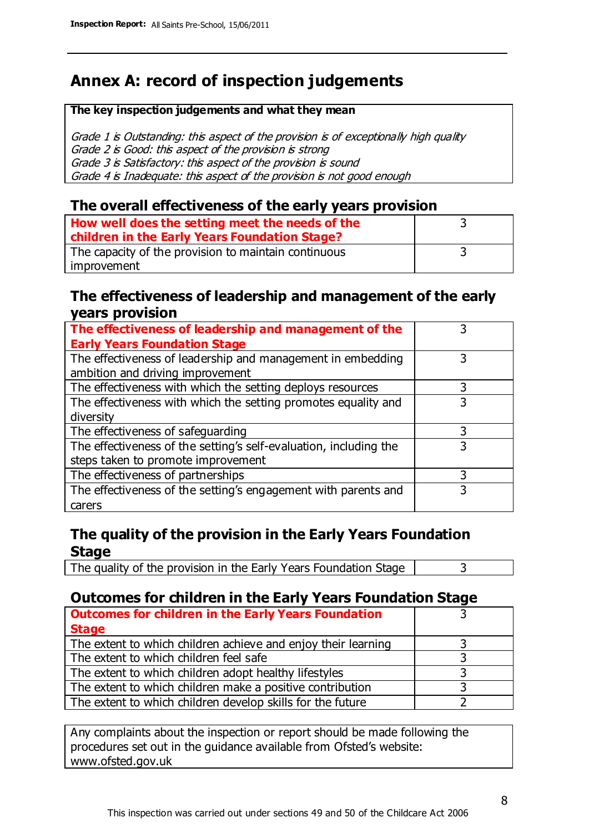# **Annex A: record of inspection judgements**

#### **The key inspection judgements and what they mean**

Grade 1 is Outstanding: this aspect of the provision is of exceptionally high quality Grade 2 is Good: this aspect of the provision is strong Grade 3 is Satisfactory: this aspect of the provision is sound Grade 4 is Inadequate: this aspect of the provision is not good enough

#### **The overall effectiveness of the early years provision**

| How well does the setting meet the needs of the<br>children in the Early Years Foundation Stage? |  |
|--------------------------------------------------------------------------------------------------|--|
| The capacity of the provision to maintain continuous                                             |  |
| improvement                                                                                      |  |

#### **The effectiveness of leadership and management of the early years provision**

| The effectiveness of leadership and management of the             |   |
|-------------------------------------------------------------------|---|
| <b>Early Years Foundation Stage</b>                               |   |
| The effectiveness of leadership and management in embedding       |   |
| ambition and driving improvement                                  |   |
| The effectiveness with which the setting deploys resources        |   |
| The effectiveness with which the setting promotes equality and    |   |
| diversity                                                         |   |
| The effectiveness of safeguarding                                 |   |
| The effectiveness of the setting's self-evaluation, including the | 3 |
| steps taken to promote improvement                                |   |
| The effectiveness of partnerships                                 |   |
| The effectiveness of the setting's engagement with parents and    |   |
| carers                                                            |   |

### **The quality of the provision in the Early Years Foundation Stage**

The quality of the provision in the Early Years Foundation Stage  $\vert$  3

## **Outcomes for children in the Early Years Foundation Stage**

| <b>Outcomes for children in the Early Years Foundation</b>    |  |
|---------------------------------------------------------------|--|
| <b>Stage</b>                                                  |  |
| The extent to which children achieve and enjoy their learning |  |
| The extent to which children feel safe                        |  |
| The extent to which children adopt healthy lifestyles         |  |
| The extent to which children make a positive contribution     |  |
| The extent to which children develop skills for the future    |  |

Any complaints about the inspection or report should be made following the procedures set out in the guidance available from Ofsted's website: www.ofsted.gov.uk